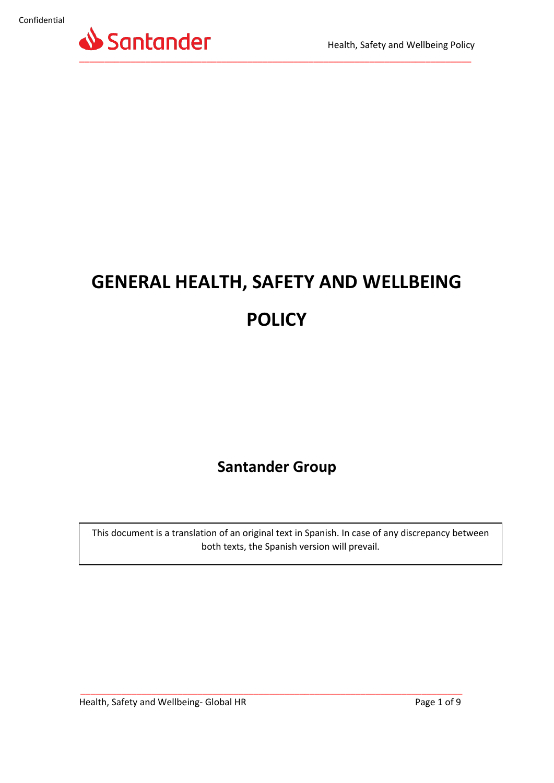

# **GENERAL HEALTH, SAFETY AND WELLBEING POLICY**

### **Santander Group**

This document is a translation of an original text in Spanish. In case of any discrepancy between both texts, the Spanish version will prevail.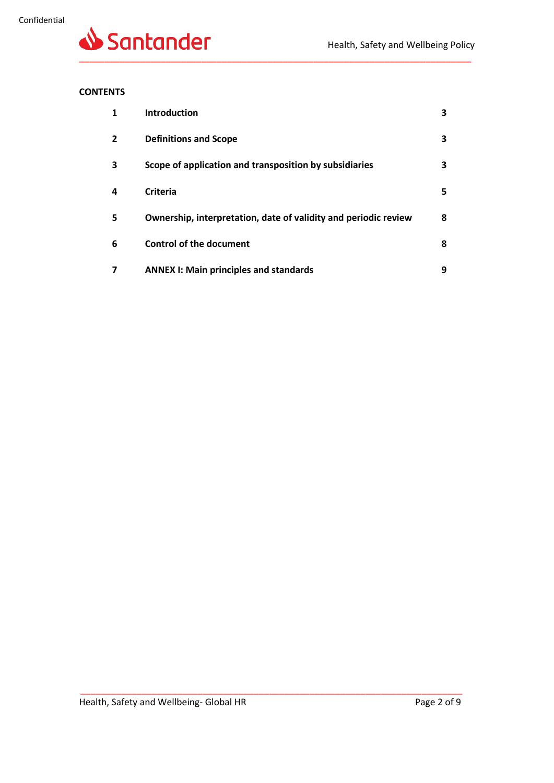

#### **CONTENTS**

| 1              | <b>Introduction</b>                                             | 3 |
|----------------|-----------------------------------------------------------------|---|
| $\overline{2}$ | <b>Definitions and Scope</b>                                    | з |
| 3              | Scope of application and transposition by subsidiaries          | з |
| 4              | Criteria                                                        | 5 |
| 5              | Ownership, interpretation, date of validity and periodic review | 8 |
| 6              | <b>Control of the document</b>                                  | 8 |
| 7              | <b>ANNEX I: Main principles and standards</b>                   | 9 |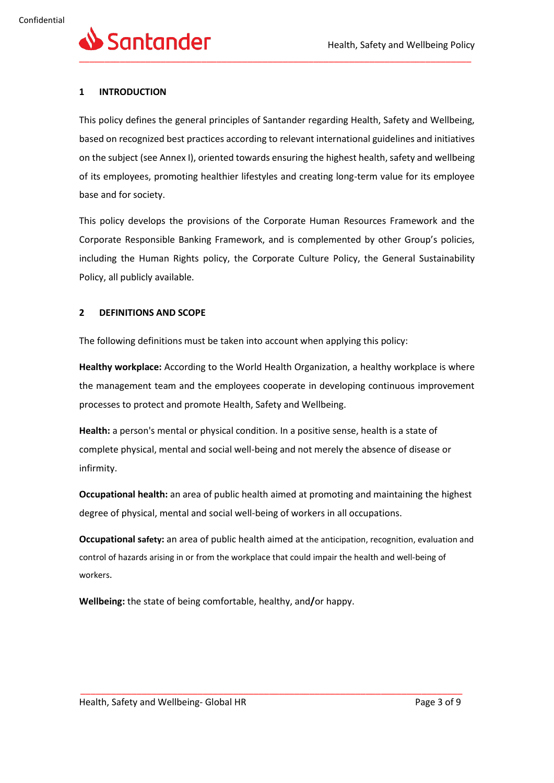#### **1 INTRODUCTION**

This policy defines the general principles of Santander regarding Health, Safety and Wellbeing, based on recognized best practices according to relevant international guidelines and initiatives on the subject (see Annex I), oriented towards ensuring the highest health, safety and wellbeing of its employees, promoting healthier lifestyles and creating long-term value for its employee base and for society.

This policy develops the provisions of the Corporate Human Resources Framework and the Corporate Responsible Banking Framework, and is complemented by other Group's policies, including the Human Rights policy, the Corporate Culture Policy, the General Sustainability Policy, all publicly available.

#### **2 DEFINITIONS AND SCOPE**

The following definitions must be taken into account when applying this policy:

**Healthy workplace:** According to the World Health Organization, a healthy workplace is where the management team and the employees cooperate in developing continuous improvement processes to protect and promote Health, Safety and Wellbeing.

**Health:** a person's mental or physical condition. In a positive sense, health is a state of complete physical, mental and social well-being and not merely the absence of disease or infirmity.

**Occupational health:** an area of public health aimed at promoting and maintaining the highest degree of physical, mental and social well-being of workers in all occupations.

**Occupational safety:** an area of public health aimed at the anticipation, recognition, evaluation and control of hazards arising in or from the workplace that could impair the health and well-being of workers.

\_\_\_\_\_\_\_\_\_\_\_\_\_\_\_\_\_\_\_\_\_\_\_\_\_\_\_\_\_\_\_\_\_\_\_\_\_\_\_\_\_\_\_\_\_\_\_\_\_\_\_\_\_\_\_\_\_\_\_\_\_\_\_\_\_\_\_\_\_\_\_\_\_\_\_

**Wellbeing:** the state of being comfortable, healthy, and**/**or happy.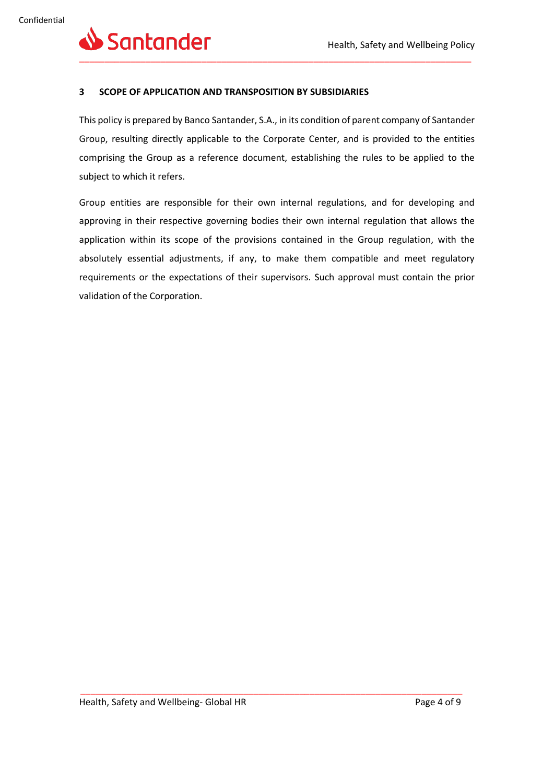

#### **3 SCOPE OF APPLICATION AND TRANSPOSITION BY SUBSIDIARIES**

This policy is prepared by Banco Santander, S.A., in its condition of parent company of Santander Group, resulting directly applicable to the Corporate Center, and is provided to the entities comprising the Group as a reference document, establishing the rules to be applied to the subject to which it refers.

Group entities are responsible for their own internal regulations, and for developing and approving in their respective governing bodies their own internal regulation that allows the application within its scope of the provisions contained in the Group regulation, with the absolutely essential adjustments, if any, to make them compatible and meet regulatory requirements or the expectations of their supervisors. Such approval must contain the prior validation of the Corporation.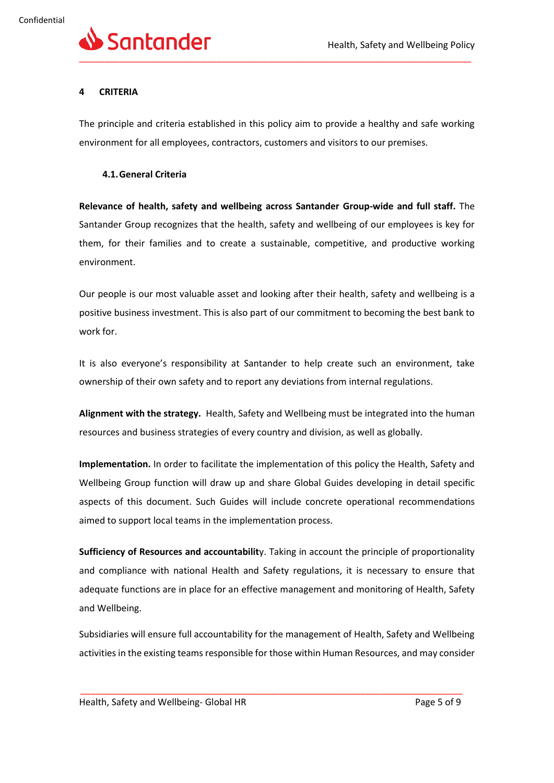

#### **4 CRITERIA**

The principle and criteria established in this policy aim to provide a healthy and safe working environment for all employees, contractors, customers and visitors to our premises.

#### **4.1.General Criteria**

**Relevance of health, safety and wellbeing across Santander Group-wide and full staff.** The Santander Group recognizes that the health, safety and wellbeing of our employees is key for them, for their families and to create a sustainable, competitive, and productive working environment.

Our people is our most valuable asset and looking after their health, safety and wellbeing is a positive business investment. This is also part of our commitment to becoming the best bank to work for.

It is also everyone's responsibility at Santander to help create such an environment, take ownership of their own safety and to report any deviations from internal regulations.

**Alignment with the strategy.** Health, Safety and Wellbeing must be integrated into the human resources and business strategies of every country and division, as well as globally.

**Implementation.** In order to facilitate the implementation of this policy the Health, Safety and Wellbeing Group function will draw up and share Global Guides developing in detail specific aspects of this document. Such Guides will include concrete operational recommendations aimed to support local teams in the implementation process.

**Sufficiency of Resources and accountabilit**y. Taking in account the principle of proportionality and compliance with national Health and Safety regulations, it is necessary to ensure that adequate functions are in place for an effective management and monitoring of Health, Safety and Wellbeing.

Subsidiaries will ensure full accountability for the management of Health, Safety and Wellbeing activities in the existing teams responsible for those within Human Resources, and may consider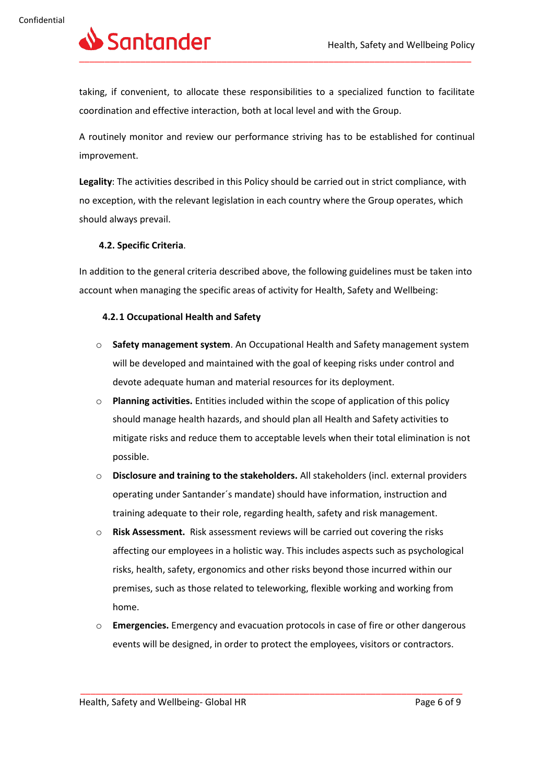

taking, if convenient, to allocate these responsibilities to a specialized function to facilitate coordination and effective interaction, both at local level and with the Group.

A routinely monitor and review our performance striving has to be established for continual improvement.

**Legality**: The activities described in this Policy should be carried out in strict compliance, with no exception, with the relevant legislation in each country where the Group operates, which should always prevail.

#### **4.2. Specific Criteria**.

In addition to the general criteria described above, the following guidelines must be taken into account when managing the specific areas of activity for Health, Safety and Wellbeing:

#### **4.2.1 Occupational Health and Safety**

- o **Safety management system**. An Occupational Health and Safety management system will be developed and maintained with the goal of keeping risks under control and devote adequate human and material resources for its deployment.
- o **Planning activities.** Entities included within the scope of application of this policy should manage health hazards, and should plan all Health and Safety activities to mitigate risks and reduce them to acceptable levels when their total elimination is not possible.
- o **Disclosure and training to the stakeholders.** All stakeholders (incl. external providers operating under Santander´s mandate) should have information, instruction and training adequate to their role, regarding health, safety and risk management.
- o **Risk Assessment.** Risk assessment reviews will be carried out covering the risks affecting our employees in a holistic way. This includes aspects such as psychological risks, health, safety, ergonomics and other risks beyond those incurred within our premises, such as those related to teleworking, flexible working and working from home.
- o **Emergencies.** Emergency and evacuation protocols in case of fire or other dangerous events will be designed, in order to protect the employees, visitors or contractors.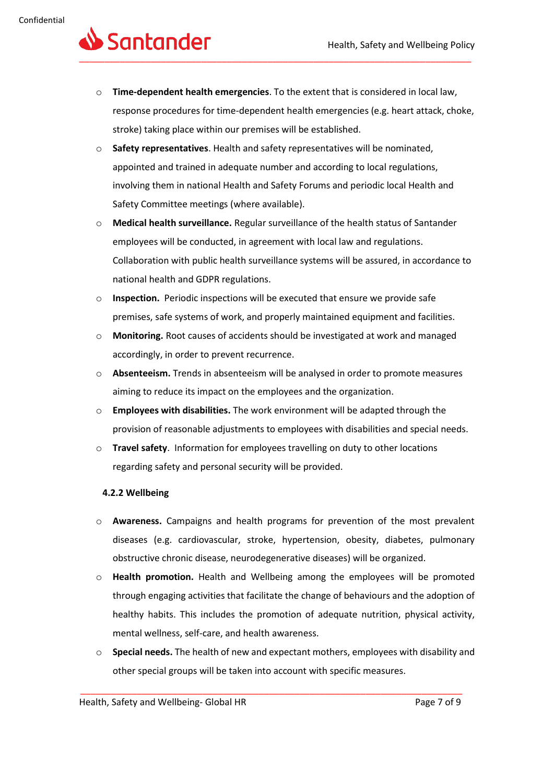## Santander \_\_\_\_\_\_\_\_\_\_\_\_\_\_\_\_\_\_\_\_\_\_\_\_\_\_\_\_\_\_\_\_\_\_\_\_\_\_\_\_\_\_\_\_\_\_\_\_\_\_\_\_\_\_\_\_\_\_\_\_\_\_\_\_\_\_\_\_\_\_\_\_\_\_\_\_\_

- o **Time-dependent health emergencies**. To the extent that is considered in local law, response procedures for time-dependent health emergencies (e.g. heart attack, choke, stroke) taking place within our premises will be established.
- o **Safety representatives**. Health and safety representatives will be nominated, appointed and trained in adequate number and according to local regulations, involving them in national Health and Safety Forums and periodic local Health and Safety Committee meetings (where available).
- o **Medical health surveillance.** Regular surveillance of the health status of Santander employees will be conducted, in agreement with local law and regulations. Collaboration with public health surveillance systems will be assured, in accordance to national health and GDPR regulations.
- o **Inspection.** Periodic inspections will be executed that ensure we provide safe premises, safe systems of work, and properly maintained equipment and facilities.
- o **Monitoring.** Root causes of accidents should be investigated at work and managed accordingly, in order to prevent recurrence.
- o **Absenteeism.** Trends in absenteeism will be analysed in order to promote measures aiming to reduce its impact on the employees and the organization.
- o **Employees with disabilities.** The work environment will be adapted through the provision of reasonable adjustments to employees with disabilities and special needs.
- o **Travel safety**. Information for employees travelling on duty to other locations regarding safety and personal security will be provided.

#### **4.2.2 Wellbeing**

- o **Awareness.** Campaigns and health programs for prevention of the most prevalent diseases (e.g. cardiovascular, stroke, hypertension, obesity, diabetes, pulmonary obstructive chronic disease, neurodegenerative diseases) will be organized.
- o **Health promotion.** Health and Wellbeing among the employees will be promoted through engaging activities that facilitate the change of behaviours and the adoption of healthy habits. This includes the promotion of adequate nutrition, physical activity, mental wellness, self-care, and health awareness.
- o **Special needs.** The health of new and expectant mothers, employees with disability and other special groups will be taken into account with specific measures.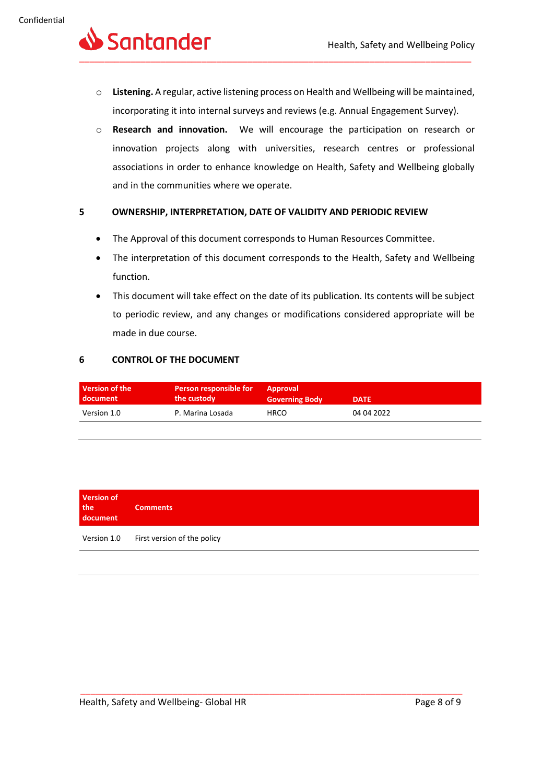

- o **Listening.** A regular, active listening process on Health and Wellbeing will be maintained, incorporating it into internal surveys and reviews (e.g. Annual Engagement Survey).
- o **Research and innovation.** We will encourage the participation on research or innovation projects along with universities, research centres or professional associations in order to enhance knowledge on Health, Safety and Wellbeing globally and in the communities where we operate.

#### **5 OWNERSHIP, INTERPRETATION, DATE OF VALIDITY AND PERIODIC REVIEW**

- The Approval of this document corresponds to Human Resources Committee.
- The interpretation of this document corresponds to the Health, Safety and Wellbeing function.
- This document will take effect on the date of its publication. Its contents will be subject to periodic review, and any changes or modifications considered appropriate will be made in due course.

#### **6 CONTROL OF THE DOCUMENT**

| Version of the | Person responsible for | <b>Approval</b>       | <b>DATE</b> |
|----------------|------------------------|-----------------------|-------------|
| l document     | the custody            | <b>Governing Body</b> |             |
| Version 1.0    | P. Marina Losada       | <b>HRCO</b>           | 04 04 2022  |

| <b>Version of</b><br>the<br>document | <b>Comments</b>             |
|--------------------------------------|-----------------------------|
| Version 1.0                          | First version of the policy |